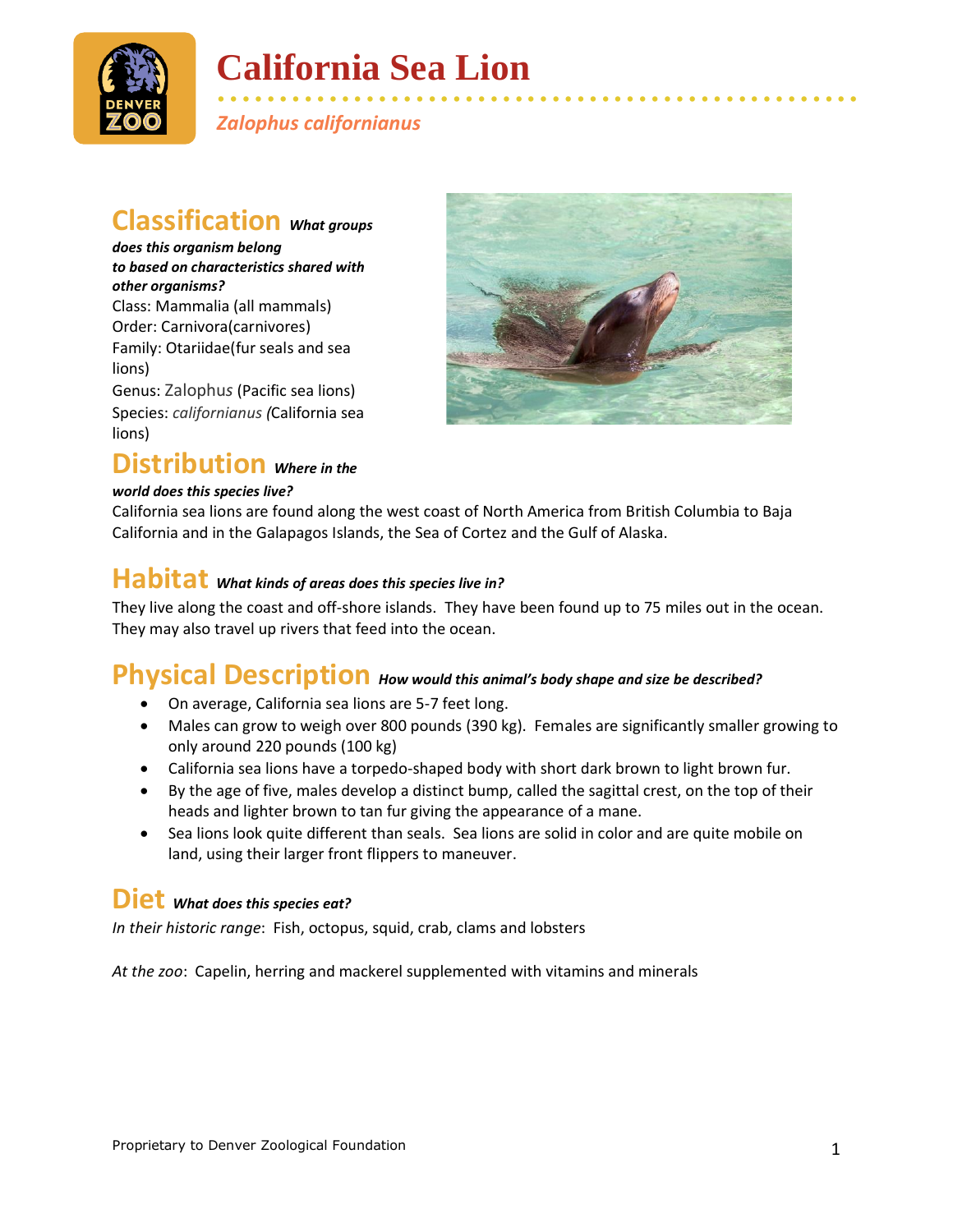

# **California Sea Lion**

• • • • • • • • • • • • • • • • • • • • • • • • • • • • • • • • • • • • • • • • • • • • • • • • • • • • *Zalophus californianus*

#### **Classification** *What groups*

*does this organism belong to based on characteristics shared with other organisms?* Class: Mammalia (all mammals) Order: Carnivora(carnivores) Family: Otariidae(fur seals and sea lions) Genus: Zalophu*s* (Pacific sea lions)

Species: *californianus (*California sea lions)

#### **Distribution** *Where in the*

#### *world does this species live?*



California sea lions are found along the west coast of North America from British Columbia to Baja California and in the Galapagos Islands, the Sea of Cortez and the Gulf of Alaska.

### **Habitat** *What kinds of areas does this species live in?*

They live along the coast and off-shore islands. They have been found up to 75 miles out in the ocean. They may also travel up rivers that feed into the ocean.

#### **Physical Description** *How would this animal's body shape and size be described?*

- On average, California sea lions are 5-7 feet long.
- Males can grow to weigh over 800 pounds (390 kg). Females are significantly smaller growing to only around 220 pounds (100 kg)
- California sea lions have a torpedo-shaped body with short dark brown to light brown fur.
- By the age of five, males develop a distinct bump, called the sagittal crest, on the top of their heads and lighter brown to tan fur giving the appearance of a mane.
- Sea lions look quite different than seals. Sea lions are solid in color and are quite mobile on land, using their larger front flippers to maneuver.

#### **Diet** *What does this species eat?*

*In their historic range*: Fish, octopus, squid, crab, clams and lobsters

*At the zoo*: Capelin, herring and mackerel supplemented with vitamins and minerals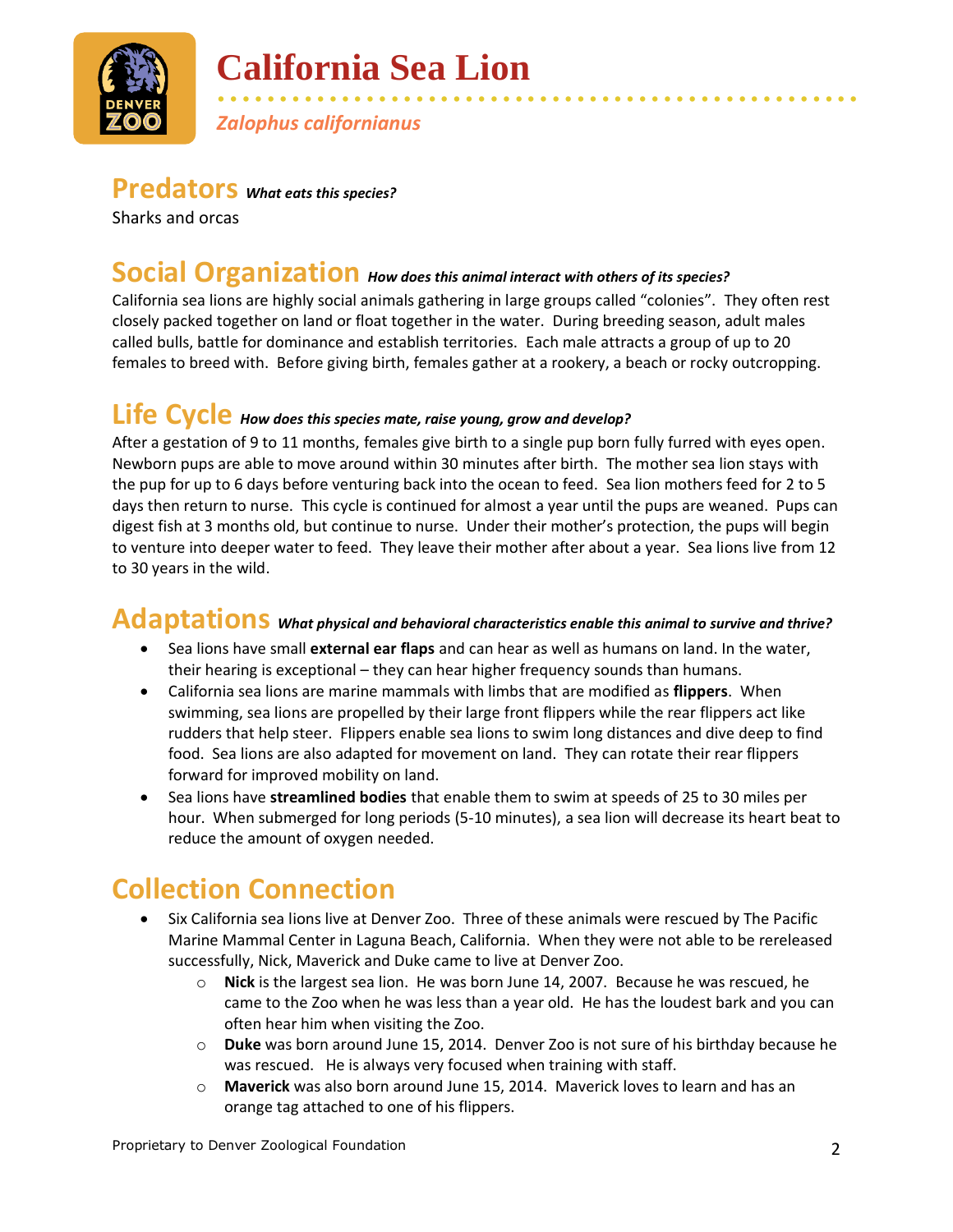

# **California Sea Lion**

• • • • • • • • • • • • • • • • • • • • • • • • • • • • • • • • • • • • • • • • • • • • • • • • • • • • *Zalophus californianus*

#### **Predators** *What eats this species?*

Sharks and orcas

#### **Social Organization** *How does this animal interact with others of its species?*

California sea lions are highly social animals gathering in large groups called "colonies". They often rest closely packed together on land or float together in the water. During breeding season, adult males called bulls, battle for dominance and establish territories. Each male attracts a group of up to 20 females to breed with. Before giving birth, females gather at a rookery, a beach or rocky outcropping.

#### **Life Cycle** *How does this species mate, raise young, grow and develop?*

After a gestation of 9 to 11 months, females give birth to a single pup born fully furred with eyes open. Newborn pups are able to move around within 30 minutes after birth. The mother sea lion stays with the pup for up to 6 days before venturing back into the ocean to feed. Sea lion mothers feed for 2 to 5 days then return to nurse. This cycle is continued for almost a year until the pups are weaned. Pups can digest fish at 3 months old, but continue to nurse. Under their mother's protection, the pups will begin to venture into deeper water to feed. They leave their mother after about a year. Sea lions live from 12 to 30 years in the wild.

#### **Adaptations** *What physical and behavioral characteristics enable this animal to survive and thrive?*

- Sea lions have small **external ear flaps** and can hear as well as humans on land. In the water, their hearing is exceptional – they can hear higher frequency sounds than humans.
- California sea lions are marine mammals with limbs that are modified as **flippers**. When swimming, sea lions are propelled by their large front flippers while the rear flippers act like rudders that help steer. Flippers enable sea lions to swim long distances and dive deep to find food. Sea lions are also adapted for movement on land. They can rotate their rear flippers forward for improved mobility on land.
- Sea lions have **streamlined bodies** that enable them to swim at speeds of 25 to 30 miles per hour. When submerged for long periods (5-10 minutes), a sea lion will decrease its heart beat to reduce the amount of oxygen needed.

## **Collection Connection**

- Six California sea lions live at Denver Zoo. Three of these animals were rescued by The Pacific Marine Mammal Center in Laguna Beach, California. When they were not able to be rereleased successfully, Nick, Maverick and Duke came to live at Denver Zoo.
	- o **Nick** is the largest sea lion. He was born June 14, 2007. Because he was rescued, he came to the Zoo when he was less than a year old. He has the loudest bark and you can often hear him when visiting the Zoo.
	- o **Duke** was born around June 15, 2014. Denver Zoo is not sure of his birthday because he was rescued. He is always very focused when training with staff.
	- o **Maverick** was also born around June 15, 2014. Maverick loves to learn and has an orange tag attached to one of his flippers.